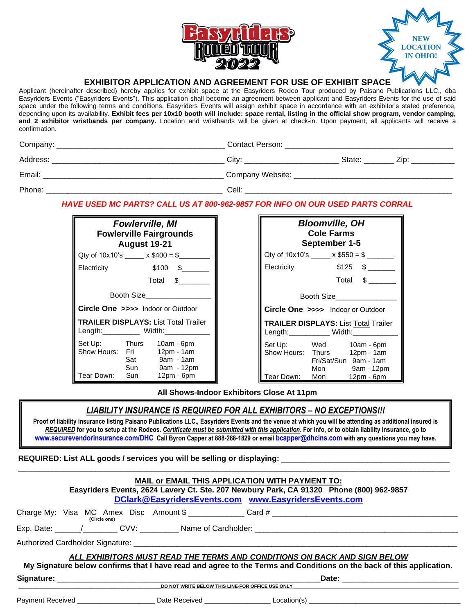



# **EXHIBITOR APPLICATION AND AGREEMENT FOR USE OF EXHIBIT SPACE**

Applicant (hereinafter described) hereby applies for exhibit space at the Easyriders Rodeo Tour produced by Paisano Publications LLC., dba Easyriders Events ("Easyriders Events"). This application shall become an agreement between applicant and Easyriders Events for the use of said space under the following terms and conditions. Easyriders Events will assign exhibit space in accordance with an exhibitor's stated preference, depending upon its availability. **Exhibit fees per 10x10 booth will include: space rental, listing in the official show program, vendor camping, and 2 exhibitor wristbands per company.** Location and wristbands will be given at check-in. Upon payment, all applicants will receive a confirmation.

| Company: | Contact Person:     |        |      |
|----------|---------------------|--------|------|
| Address: | Citv <sup>-</sup>   | State: | Zip: |
| Email:   | Company Website: __ |        |      |
| Phone:   | Cell:               |        |      |

## *HAVE USED MC PARTS? CALL US AT 800-962-9857 FOR INFO ON OUR USED PARTS CORRAL*

| <b>Fowlerville, MI</b><br><b>Fowlerville Fairgrounds</b><br><b>August 19-21</b> |                                   |                                                       |  |  |  |
|---------------------------------------------------------------------------------|-----------------------------------|-------------------------------------------------------|--|--|--|
|                                                                                 | Qty of $10x10$ 's $x $400 = $$    |                                                       |  |  |  |
| Electricity                                                                     |                                   | $$100 \t$$                                            |  |  |  |
|                                                                                 |                                   | Total \$                                              |  |  |  |
| Booth Size                                                                      |                                   |                                                       |  |  |  |
| Circle One >>>> Indoor or Outdoor                                               |                                   |                                                       |  |  |  |
| <b>TRAILER DISPLAYS: List Total Trailer</b><br>Length: __________ Width:____    |                                   |                                                       |  |  |  |
| Set Up:<br>Show Hours: Fri                                                      | <b>Thurs</b><br>Sat<br><b>Sun</b> | 10am - 6pm<br>$12pm - 1am$<br>9am - 1am<br>9am - 12pm |  |  |  |
| Tear Down:                                                                      | Sun                               | 12pm - 6pm                                            |  |  |  |

| <b>Bloomville, OH</b><br><b>Cole Farms</b><br>September 1-5                     |                                                                                                                        |  |  |  |  |
|---------------------------------------------------------------------------------|------------------------------------------------------------------------------------------------------------------------|--|--|--|--|
| Qty of 10x10's $x$ \$550 = \$                                                   |                                                                                                                        |  |  |  |  |
| Electricity                                                                     | $$125$ \$                                                                                                              |  |  |  |  |
|                                                                                 | Total \$                                                                                                               |  |  |  |  |
| Booth Size                                                                      |                                                                                                                        |  |  |  |  |
| <b>Circle One &gt;&gt;&gt;&gt;</b> Indoor or Outdoor                            |                                                                                                                        |  |  |  |  |
| <b>TRAILER DISPLAYS: List Total Trailer</b><br>Length: ___________ Width:______ |                                                                                                                        |  |  |  |  |
| Set Up:<br>Tear Down:                                                           | Wed 10am - 6pm<br>Show Hours: Thurs 12pm - 1am<br>Fri/Sat/Sun 9am - 1am<br>Mon 9am - 12pm<br>Mongression<br>12pm - 6pm |  |  |  |  |

**All Shows-Indoor Exhibitors Close At 11pm**

# *LIABILITY INSURANCE IS REQUIRED FOR ALL EXHIBITORS – NO EXCEPTIONS!!!*

**Proof of liability insurance listing Paisano Publications LLC., Easyriders Events and the venue at which you will be attending as additional insured is**  *REQUIRED* **for you to setup at the Rodeos***. Certificate must be submitted with this application***. For info, or to obtain liability insurance, go to [www.securevendorinsurance.com/DHC](https://securevendorinsurance.com/DHC) Call Byron Capper at 888-288-1829 or email [bcapper@dhcins.com](mailto:bcapper@dhcins.com) with any questions you may have.**

## **REQUIRED: List ALL goods / services you will be selling or displaying:** \_\_\_\_\_\_\_\_\_\_\_\_\_\_\_\_\_\_\_\_\_\_\_\_\_\_\_\_\_\_\_\_\_\_\_\_\_\_\_

| MAIL or EMAIL THIS APPLICATION WITH PAYMENT TO:<br>Easyriders Events, 2624 Lavery Ct. Ste. 207 Newbury Park, CA 91320 Phone (800) 962-9857<br>DClark@EasyridersEvents.com www.EasyridersEvents.com |              |                                   |                                                                                                                                                                                                 |  |
|----------------------------------------------------------------------------------------------------------------------------------------------------------------------------------------------------|--------------|-----------------------------------|-------------------------------------------------------------------------------------------------------------------------------------------------------------------------------------------------|--|
|                                                                                                                                                                                                    | (Circle one) |                                   | Charge My: Visa MC Amex Disc Amount \$ ______________Card # ______________________                                                                                                              |  |
|                                                                                                                                                                                                    |              |                                   |                                                                                                                                                                                                 |  |
|                                                                                                                                                                                                    |              |                                   |                                                                                                                                                                                                 |  |
|                                                                                                                                                                                                    |              |                                   | ALL EXHIBITORS MUST READ THE TERMS AND CONDITIONS ON BACK AND SIGN BELOW<br>My Signature below confirms that I have read and agree to the Terms and Conditions on the back of this application. |  |
|                                                                                                                                                                                                    |              | Date: ___________________________ |                                                                                                                                                                                                 |  |
|                                                                                                                                                                                                    |              |                                   | DO NOT WRITE BELOW THIS LINE-FOR OFFICE USE ONLY                                                                                                                                                |  |
|                                                                                                                                                                                                    |              |                                   |                                                                                                                                                                                                 |  |